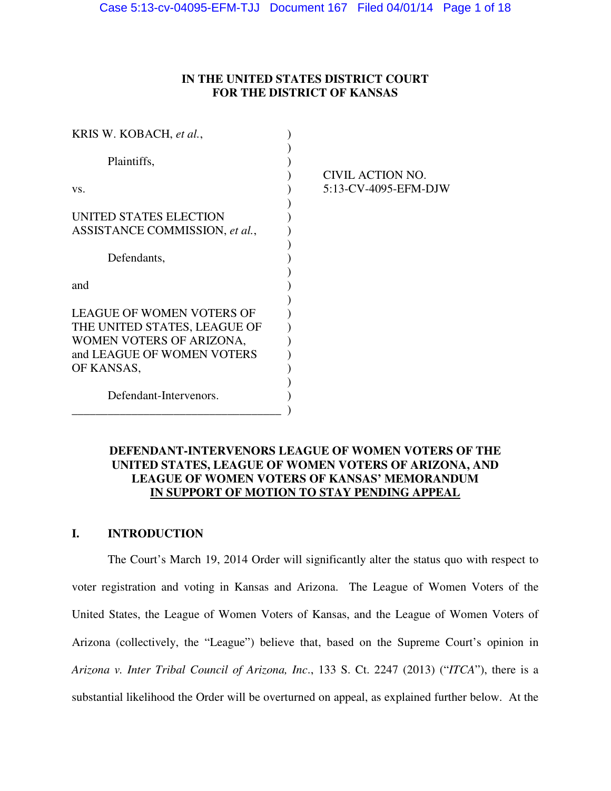## **IN THE UNITED STATES DISTRICT COURT FOR THE DISTRICT OF KANSAS**

| KRIS W. KOBACH, et al.,                                  |                      |
|----------------------------------------------------------|----------------------|
| Plaintiffs,                                              | CIVIL ACTION NO.     |
| VS.                                                      | 5:13-CV-4095-EFM-DJW |
| UNITED STATES ELECTION<br>ASSISTANCE COMMISSION, et al., |                      |
| Defendants,                                              |                      |
| and                                                      |                      |
| <b>LEAGUE OF WOMEN VOTERS OF</b>                         |                      |
| THE UNITED STATES, LEAGUE OF                             |                      |
| WOMEN VOTERS OF ARIZONA,                                 |                      |
| and LEAGUE OF WOMEN VOTERS                               |                      |
| OF KANSAS,                                               |                      |
|                                                          |                      |
| Defendant-Intervenors.                                   |                      |
|                                                          |                      |

## **DEFENDANT-INTERVENORS LEAGUE OF WOMEN VOTERS OF THE UNITED STATES, LEAGUE OF WOMEN VOTERS OF ARIZONA, AND LEAGUE OF WOMEN VOTERS OF KANSAS' MEMORANDUM IN SUPPORT OF MOTION TO STAY PENDING APPEAL**

# **I. INTRODUCTION**

 The Court's March 19, 2014 Order will significantly alter the status quo with respect to voter registration and voting in Kansas and Arizona. The League of Women Voters of the United States, the League of Women Voters of Kansas, and the League of Women Voters of Arizona (collectively, the "League") believe that, based on the Supreme Court's opinion in *Arizona v. Inter Tribal Council of Arizona, Inc*., 133 S. Ct. 2247 (2013) ("*ITCA*"), there is a substantial likelihood the Order will be overturned on appeal, as explained further below. At the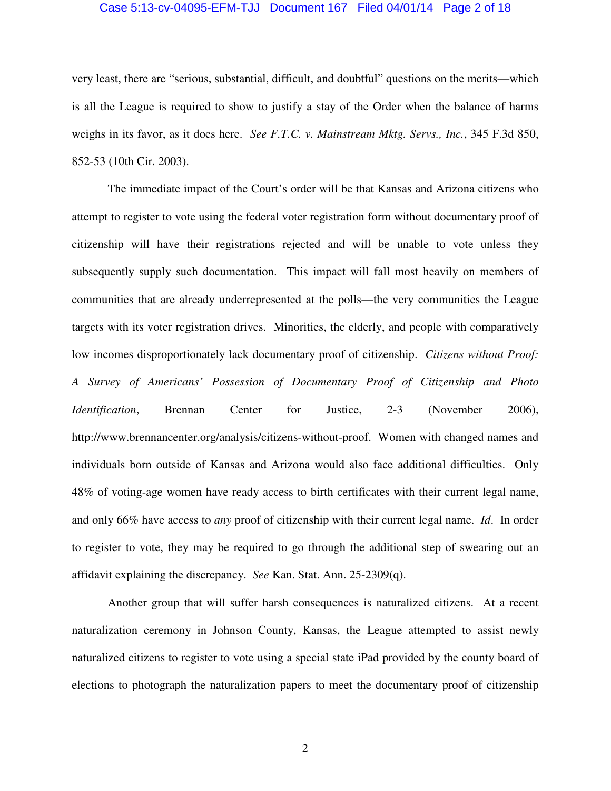#### Case 5:13-cv-04095-EFM-TJJ Document 167 Filed 04/01/14 Page 2 of 18

very least, there are "serious, substantial, difficult, and doubtful" questions on the merits—which is all the League is required to show to justify a stay of the Order when the balance of harms weighs in its favor, as it does here. *See F.T.C. v. Mainstream Mktg. Servs., Inc.*, 345 F.3d 850, 852-53 (10th Cir. 2003).

The immediate impact of the Court's order will be that Kansas and Arizona citizens who attempt to register to vote using the federal voter registration form without documentary proof of citizenship will have their registrations rejected and will be unable to vote unless they subsequently supply such documentation. This impact will fall most heavily on members of communities that are already underrepresented at the polls—the very communities the League targets with its voter registration drives. Minorities, the elderly, and people with comparatively low incomes disproportionately lack documentary proof of citizenship. *Citizens without Proof: A Survey of Americans' Possession of Documentary Proof of Citizenship and Photo Identification*, Brennan Center for Justice, 2-3 (November 2006), http://www.brennancenter.org/analysis/citizens-without-proof. Women with changed names and individuals born outside of Kansas and Arizona would also face additional difficulties. Only 48% of voting-age women have ready access to birth certificates with their current legal name, and only 66% have access to *any* proof of citizenship with their current legal name. *Id*. In order to register to vote, they may be required to go through the additional step of swearing out an affidavit explaining the discrepancy. *See* Kan. Stat. Ann. 25-2309(q).

Another group that will suffer harsh consequences is naturalized citizens. At a recent naturalization ceremony in Johnson County, Kansas, the League attempted to assist newly naturalized citizens to register to vote using a special state iPad provided by the county board of elections to photograph the naturalization papers to meet the documentary proof of citizenship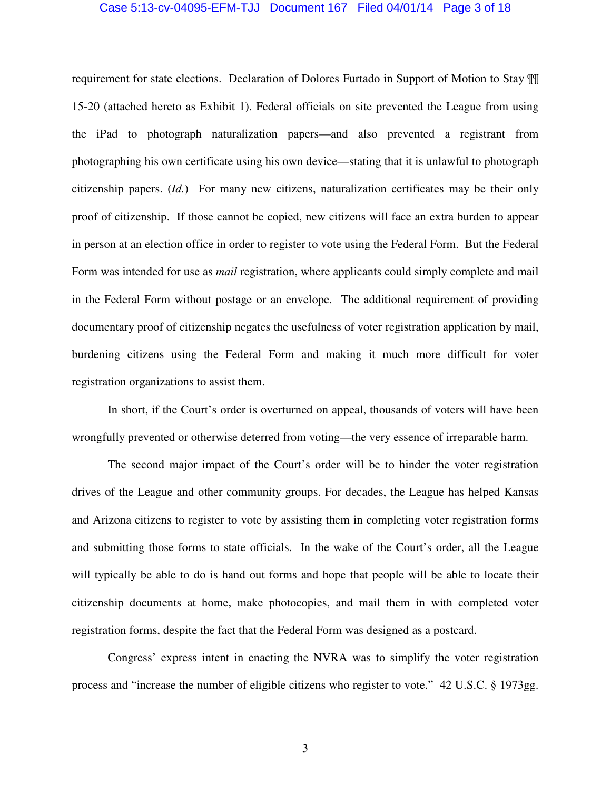#### Case 5:13-cv-04095-EFM-TJJ Document 167 Filed 04/01/14 Page 3 of 18

requirement for state elections. Declaration of Dolores Furtado in Support of Motion to Stay ¶¶ 15-20 (attached hereto as Exhibit 1). Federal officials on site prevented the League from using the iPad to photograph naturalization papers—and also prevented a registrant from photographing his own certificate using his own device—stating that it is unlawful to photograph citizenship papers. (*Id.*) For many new citizens, naturalization certificates may be their only proof of citizenship. If those cannot be copied, new citizens will face an extra burden to appear in person at an election office in order to register to vote using the Federal Form. But the Federal Form was intended for use as *mail* registration, where applicants could simply complete and mail in the Federal Form without postage or an envelope. The additional requirement of providing documentary proof of citizenship negates the usefulness of voter registration application by mail, burdening citizens using the Federal Form and making it much more difficult for voter registration organizations to assist them.

In short, if the Court's order is overturned on appeal, thousands of voters will have been wrongfully prevented or otherwise deterred from voting—the very essence of irreparable harm.

The second major impact of the Court's order will be to hinder the voter registration drives of the League and other community groups. For decades, the League has helped Kansas and Arizona citizens to register to vote by assisting them in completing voter registration forms and submitting those forms to state officials. In the wake of the Court's order, all the League will typically be able to do is hand out forms and hope that people will be able to locate their citizenship documents at home, make photocopies, and mail them in with completed voter registration forms, despite the fact that the Federal Form was designed as a postcard.

Congress' express intent in enacting the NVRA was to simplify the voter registration process and "increase the number of eligible citizens who register to vote." 42 U.S.C. § 1973gg.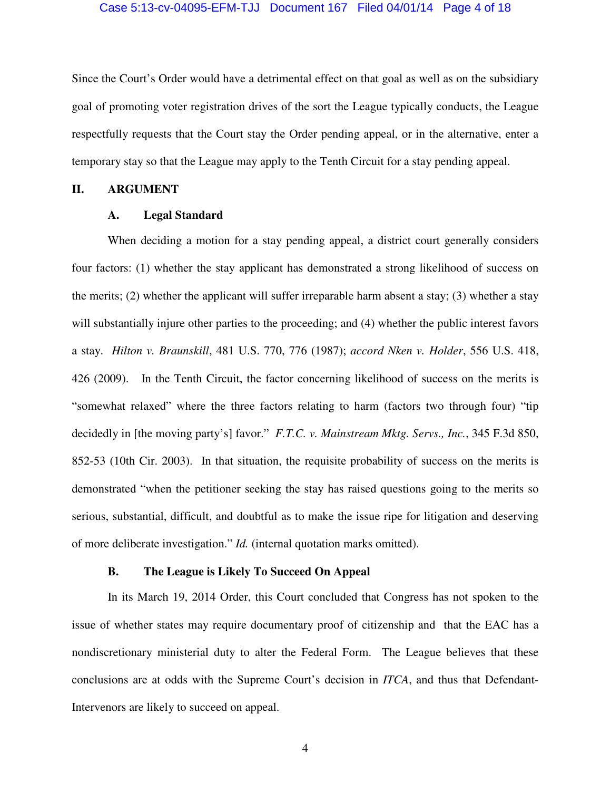#### Case 5:13-cv-04095-EFM-TJJ Document 167 Filed 04/01/14 Page 4 of 18

Since the Court's Order would have a detrimental effect on that goal as well as on the subsidiary goal of promoting voter registration drives of the sort the League typically conducts, the League respectfully requests that the Court stay the Order pending appeal, or in the alternative, enter a temporary stay so that the League may apply to the Tenth Circuit for a stay pending appeal.

## **II. ARGUMENT**

### **A. Legal Standard**

When deciding a motion for a stay pending appeal, a district court generally considers four factors: (1) whether the stay applicant has demonstrated a strong likelihood of success on the merits; (2) whether the applicant will suffer irreparable harm absent a stay; (3) whether a stay will substantially injure other parties to the proceeding; and (4) whether the public interest favors a stay. *Hilton v. Braunskill*, 481 U.S. 770, 776 (1987); *accord Nken v. Holder*, 556 U.S. 418, 426 (2009). In the Tenth Circuit, the factor concerning likelihood of success on the merits is "somewhat relaxed" where the three factors relating to harm (factors two through four) "tip decidedly in [the moving party's] favor." *F.T.C. v. Mainstream Mktg. Servs., Inc.*, 345 F.3d 850, 852-53 (10th Cir. 2003). In that situation, the requisite probability of success on the merits is demonstrated "when the petitioner seeking the stay has raised questions going to the merits so serious, substantial, difficult, and doubtful as to make the issue ripe for litigation and deserving of more deliberate investigation." *Id.* (internal quotation marks omitted).

### **B. The League is Likely To Succeed On Appeal**

 In its March 19, 2014 Order, this Court concluded that Congress has not spoken to the issue of whether states may require documentary proof of citizenship and that the EAC has a nondiscretionary ministerial duty to alter the Federal Form. The League believes that these conclusions are at odds with the Supreme Court's decision in *ITCA*, and thus that Defendant-Intervenors are likely to succeed on appeal.

4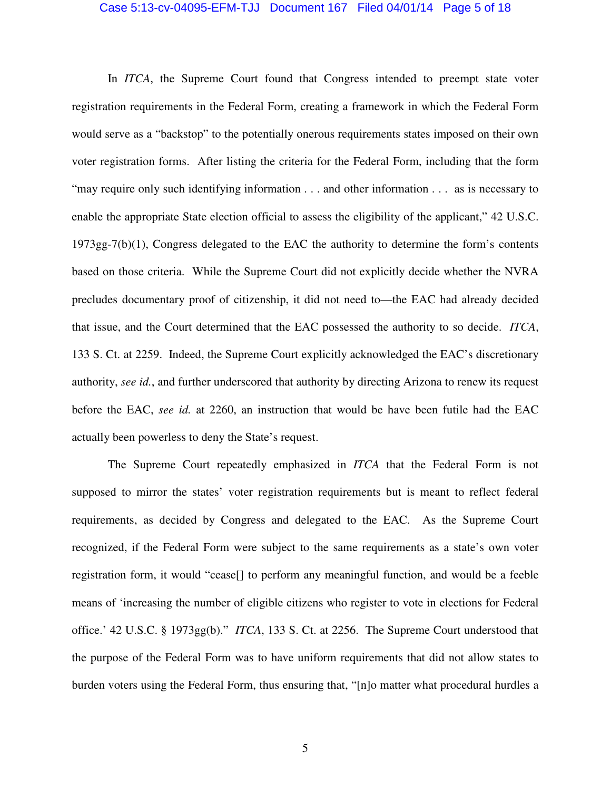#### Case 5:13-cv-04095-EFM-TJJ Document 167 Filed 04/01/14 Page 5 of 18

 In *ITCA*, the Supreme Court found that Congress intended to preempt state voter registration requirements in the Federal Form, creating a framework in which the Federal Form would serve as a "backstop" to the potentially onerous requirements states imposed on their own voter registration forms. After listing the criteria for the Federal Form, including that the form "may require only such identifying information . . . and other information . . . as is necessary to enable the appropriate State election official to assess the eligibility of the applicant," 42 U.S.C. 1973gg-7(b)(1), Congress delegated to the EAC the authority to determine the form's contents based on those criteria. While the Supreme Court did not explicitly decide whether the NVRA precludes documentary proof of citizenship, it did not need to—the EAC had already decided that issue, and the Court determined that the EAC possessed the authority to so decide. *ITCA*, 133 S. Ct. at 2259. Indeed, the Supreme Court explicitly acknowledged the EAC's discretionary authority, *see id.*, and further underscored that authority by directing Arizona to renew its request before the EAC, *see id.* at 2260, an instruction that would be have been futile had the EAC actually been powerless to deny the State's request.

 The Supreme Court repeatedly emphasized in *ITCA* that the Federal Form is not supposed to mirror the states' voter registration requirements but is meant to reflect federal requirements, as decided by Congress and delegated to the EAC. As the Supreme Court recognized, if the Federal Form were subject to the same requirements as a state's own voter registration form, it would "cease[] to perform any meaningful function, and would be a feeble means of 'increasing the number of eligible citizens who register to vote in elections for Federal office.' 42 U.S.C. § 1973gg(b)." *ITCA*, 133 S. Ct. at 2256. The Supreme Court understood that the purpose of the Federal Form was to have uniform requirements that did not allow states to burden voters using the Federal Form, thus ensuring that, "[n]o matter what procedural hurdles a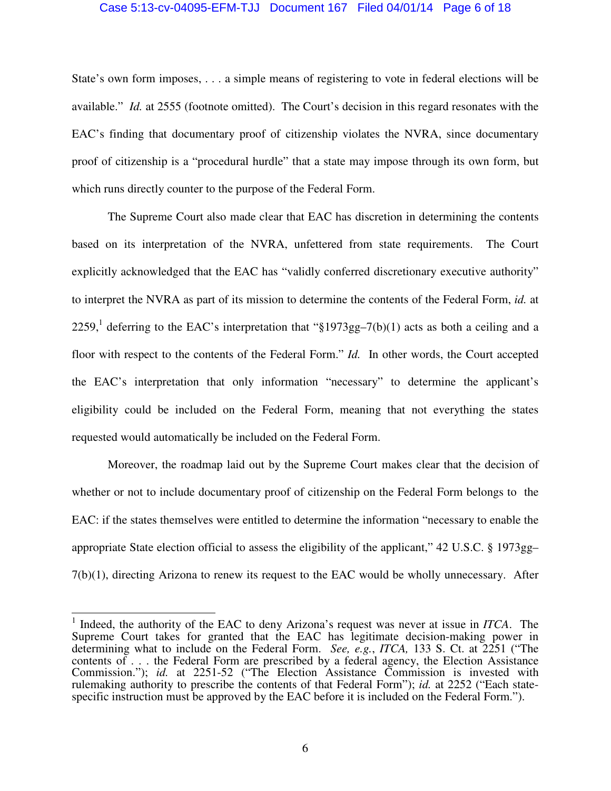#### Case 5:13-cv-04095-EFM-TJJ Document 167 Filed 04/01/14 Page 6 of 18

State's own form imposes, . . . a simple means of registering to vote in federal elections will be available." *Id.* at 2555 (footnote omitted). The Court's decision in this regard resonates with the EAC's finding that documentary proof of citizenship violates the NVRA, since documentary proof of citizenship is a "procedural hurdle" that a state may impose through its own form, but which runs directly counter to the purpose of the Federal Form.

 The Supreme Court also made clear that EAC has discretion in determining the contents based on its interpretation of the NVRA, unfettered from state requirements. The Court explicitly acknowledged that the EAC has "validly conferred discretionary executive authority" to interpret the NVRA as part of its mission to determine the contents of the Federal Form, *id.* at 2259,<sup>1</sup> deferring to the EAC's interpretation that " $\frac{1973gg-7(b)(1)}{258}$  acts as both a ceiling and a floor with respect to the contents of the Federal Form." *Id.* In other words, the Court accepted the EAC's interpretation that only information "necessary" to determine the applicant's eligibility could be included on the Federal Form, meaning that not everything the states requested would automatically be included on the Federal Form.

 Moreover, the roadmap laid out by the Supreme Court makes clear that the decision of whether or not to include documentary proof of citizenship on the Federal Form belongs to the EAC: if the states themselves were entitled to determine the information "necessary to enable the appropriate State election official to assess the eligibility of the applicant," 42 U.S.C. § 1973gg–  $7(b)(1)$ , directing Arizona to renew its request to the EAC would be wholly unnecessary. After

 1 Indeed, the authority of the EAC to deny Arizona's request was never at issue in *ITCA*. The Supreme Court takes for granted that the EAC has legitimate decision-making power in determining what to include on the Federal Form. *See, e.g.*, *ITCA,* 133 S. Ct. at 2251 ("The contents of . . . the Federal Form are prescribed by a federal agency, the Election Assistance Commission."); *id.* at 2251-52 ("The Election Assistance Commission is invested with rulemaking authority to prescribe the contents of that Federal Form"); *id.* at 2252 ("Each statespecific instruction must be approved by the EAC before it is included on the Federal Form.").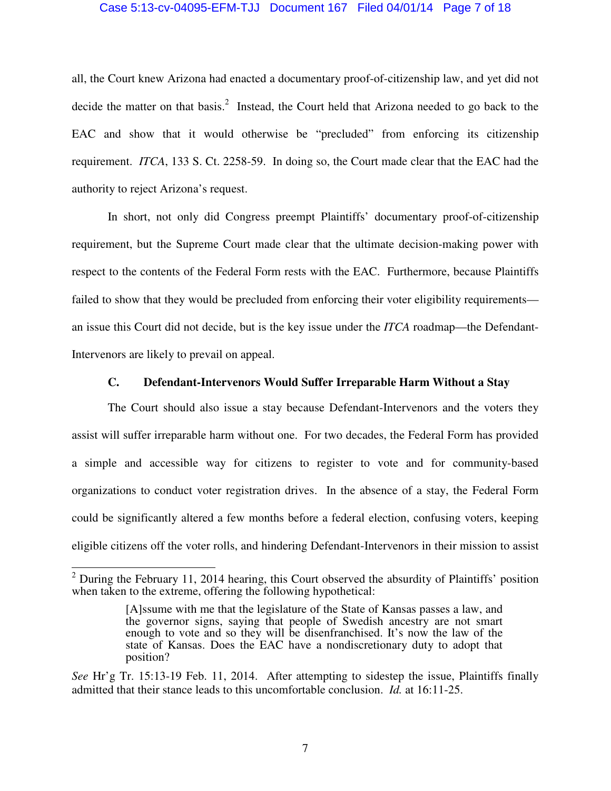### Case 5:13-cv-04095-EFM-TJJ Document 167 Filed 04/01/14 Page 7 of 18

all, the Court knew Arizona had enacted a documentary proof-of-citizenship law, and yet did not decide the matter on that basis.<sup>2</sup> Instead, the Court held that Arizona needed to go back to the EAC and show that it would otherwise be "precluded" from enforcing its citizenship requirement. *ITCA*, 133 S. Ct. 2258-59. In doing so, the Court made clear that the EAC had the authority to reject Arizona's request.

 In short, not only did Congress preempt Plaintiffs' documentary proof-of-citizenship requirement, but the Supreme Court made clear that the ultimate decision-making power with respect to the contents of the Federal Form rests with the EAC. Furthermore, because Plaintiffs failed to show that they would be precluded from enforcing their voter eligibility requirements an issue this Court did not decide, but is the key issue under the *ITCA* roadmap—the Defendant-Intervenors are likely to prevail on appeal.

### **C. Defendant-Intervenors Would Suffer Irreparable Harm Without a Stay**

The Court should also issue a stay because Defendant-Intervenors and the voters they assist will suffer irreparable harm without one. For two decades, the Federal Form has provided a simple and accessible way for citizens to register to vote and for community-based organizations to conduct voter registration drives. In the absence of a stay, the Federal Form could be significantly altered a few months before a federal election, confusing voters, keeping eligible citizens off the voter rolls, and hindering Defendant-Intervenors in their mission to assist

<sup>&</sup>lt;sup>2</sup> During the February 11, 2014 hearing, this Court observed the absurdity of Plaintiffs' position when taken to the extreme, offering the following hypothetical:

<sup>[</sup>A]ssume with me that the legislature of the State of Kansas passes a law, and the governor signs, saying that people of Swedish ancestry are not smart enough to vote and so they will be disenfranchised. It's now the law of the state of Kansas. Does the EAC have a nondiscretionary duty to adopt that position?

*See* Hr'g Tr. 15:13-19 Feb. 11, 2014. After attempting to sidestep the issue, Plaintiffs finally admitted that their stance leads to this uncomfortable conclusion. *Id.* at 16:11-25.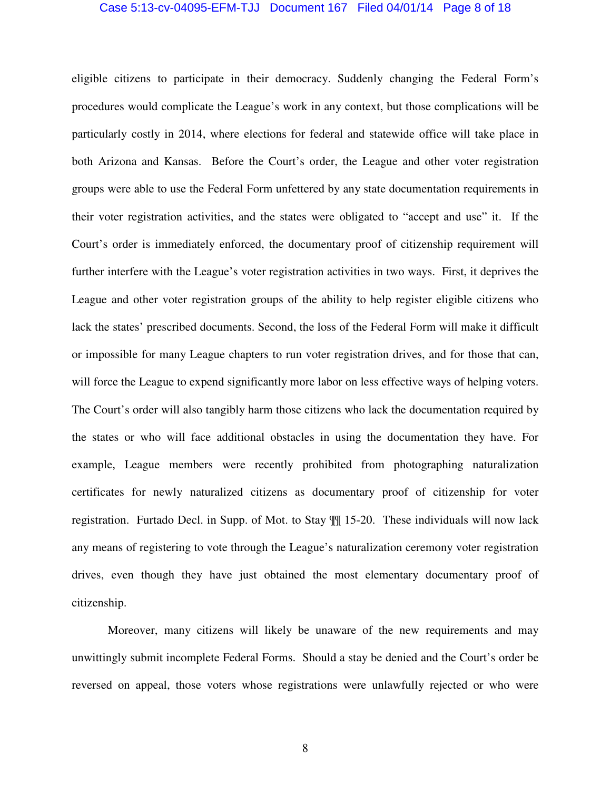#### Case 5:13-cv-04095-EFM-TJJ Document 167 Filed 04/01/14 Page 8 of 18

eligible citizens to participate in their democracy. Suddenly changing the Federal Form's procedures would complicate the League's work in any context, but those complications will be particularly costly in 2014, where elections for federal and statewide office will take place in both Arizona and Kansas. Before the Court's order, the League and other voter registration groups were able to use the Federal Form unfettered by any state documentation requirements in their voter registration activities, and the states were obligated to "accept and use" it. If the Court's order is immediately enforced, the documentary proof of citizenship requirement will further interfere with the League's voter registration activities in two ways. First, it deprives the League and other voter registration groups of the ability to help register eligible citizens who lack the states' prescribed documents. Second, the loss of the Federal Form will make it difficult or impossible for many League chapters to run voter registration drives, and for those that can, will force the League to expend significantly more labor on less effective ways of helping voters. The Court's order will also tangibly harm those citizens who lack the documentation required by the states or who will face additional obstacles in using the documentation they have. For example, League members were recently prohibited from photographing naturalization certificates for newly naturalized citizens as documentary proof of citizenship for voter registration. Furtado Decl. in Supp. of Mot. to Stay ¶¶ 15-20. These individuals will now lack any means of registering to vote through the League's naturalization ceremony voter registration drives, even though they have just obtained the most elementary documentary proof of citizenship.

Moreover, many citizens will likely be unaware of the new requirements and may unwittingly submit incomplete Federal Forms. Should a stay be denied and the Court's order be reversed on appeal, those voters whose registrations were unlawfully rejected or who were

8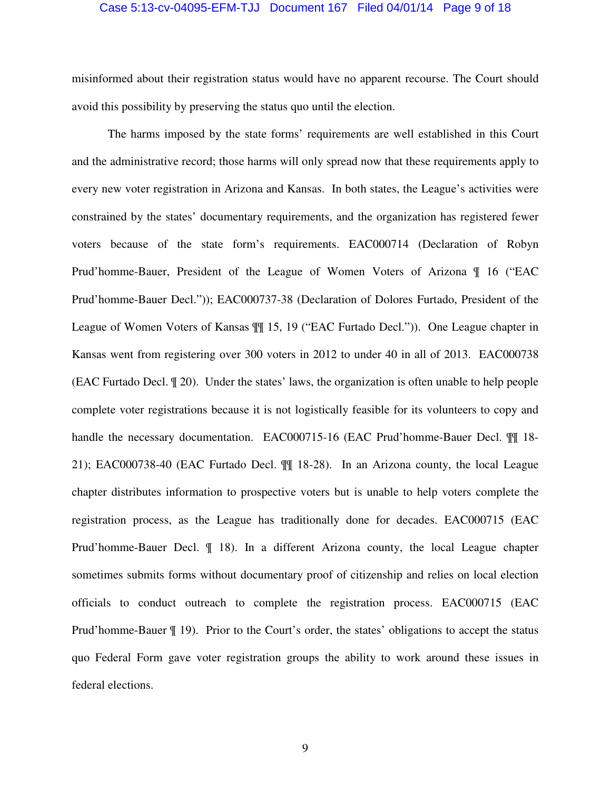#### Case 5:13-cv-04095-EFM-TJJ Document 167 Filed 04/01/14 Page 9 of 18

misinformed about their registration status would have no apparent recourse. The Court should avoid this possibility by preserving the status quo until the election.

 The harms imposed by the state forms' requirements are well established in this Court and the administrative record; those harms will only spread now that these requirements apply to every new voter registration in Arizona and Kansas. In both states, the League's activities were constrained by the states' documentary requirements, and the organization has registered fewer voters because of the state form's requirements. EAC000714 (Declaration of Robyn Prud'homme-Bauer, President of the League of Women Voters of Arizona ¶ 16 ("EAC Prud'homme-Bauer Decl.")); EAC000737-38 (Declaration of Dolores Furtado, President of the League of Women Voters of Kansas ¶¶ 15, 19 ("EAC Furtado Decl.")). One League chapter in Kansas went from registering over 300 voters in 2012 to under 40 in all of 2013. EAC000738 (EAC Furtado Decl. ¶ 20). Under the states' laws, the organization is often unable to help people complete voter registrations because it is not logistically feasible for its volunteers to copy and handle the necessary documentation. EAC000715-16 (EAC Prud'homme-Bauer Decl.  $\P\P$  18-21); EAC000738-40 (EAC Furtado Decl. ¶¶ 18-28). In an Arizona county, the local League chapter distributes information to prospective voters but is unable to help voters complete the registration process, as the League has traditionally done for decades. EAC000715 (EAC Prud'homme-Bauer Decl. ¶ 18). In a different Arizona county, the local League chapter sometimes submits forms without documentary proof of citizenship and relies on local election officials to conduct outreach to complete the registration process. EAC000715 (EAC Prud'homme-Bauer ¶ 19). Prior to the Court's order, the states' obligations to accept the status quo Federal Form gave voter registration groups the ability to work around these issues in federal elections.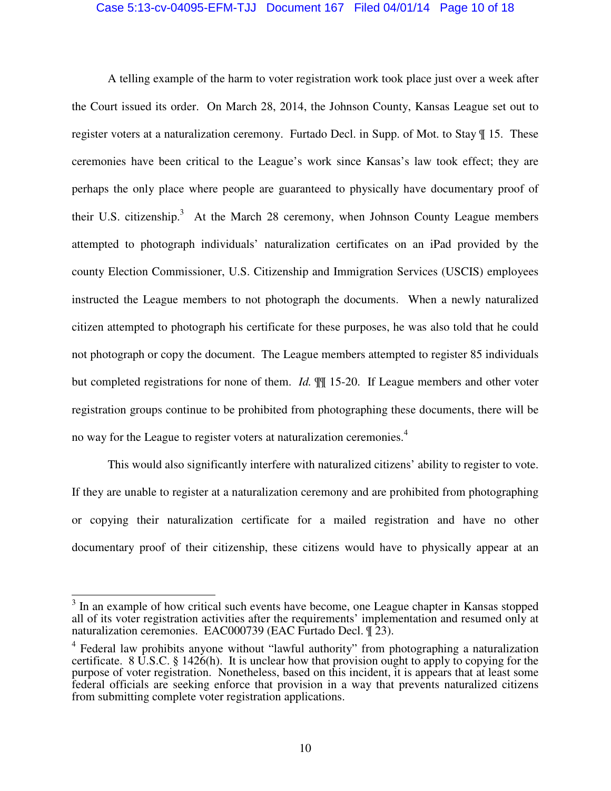### Case 5:13-cv-04095-EFM-TJJ Document 167 Filed 04/01/14 Page 10 of 18

 A telling example of the harm to voter registration work took place just over a week after the Court issued its order. On March 28, 2014, the Johnson County, Kansas League set out to register voters at a naturalization ceremony. Furtado Decl. in Supp. of Mot. to Stay ¶ 15. These ceremonies have been critical to the League's work since Kansas's law took effect; they are perhaps the only place where people are guaranteed to physically have documentary proof of their U.S. citizenship.<sup>3</sup> At the March 28 ceremony, when Johnson County League members attempted to photograph individuals' naturalization certificates on an iPad provided by the county Election Commissioner, U.S. Citizenship and Immigration Services (USCIS) employees instructed the League members to not photograph the documents. When a newly naturalized citizen attempted to photograph his certificate for these purposes, he was also told that he could not photograph or copy the document. The League members attempted to register 85 individuals but completed registrations for none of them. *Id.* ¶¶ 15-20. If League members and other voter registration groups continue to be prohibited from photographing these documents, there will be no way for the League to register voters at naturalization ceremonies.<sup>4</sup>

 This would also significantly interfere with naturalized citizens' ability to register to vote. If they are unable to register at a naturalization ceremony and are prohibited from photographing or copying their naturalization certificate for a mailed registration and have no other documentary proof of their citizenship, these citizens would have to physically appear at an

<sup>&</sup>lt;sup>3</sup> In an example of how critical such events have become, one League chapter in Kansas stopped all of its voter registration activities after the requirements' implementation and resumed only at naturalization ceremonies. EAC000739 (EAC Furtado Decl. ¶ 23).

<sup>&</sup>lt;sup>4</sup> Federal law prohibits anyone without "lawful authority" from photographing a naturalization certificate. 8 U.S.C. § 1426(h). It is unclear how that provision ought to apply to copying for the purpose of voter registration. Nonetheless, based on this incident, it is appears that at least some federal officials are seeking enforce that provision in a way that prevents naturalized citizens from submitting complete voter registration applications.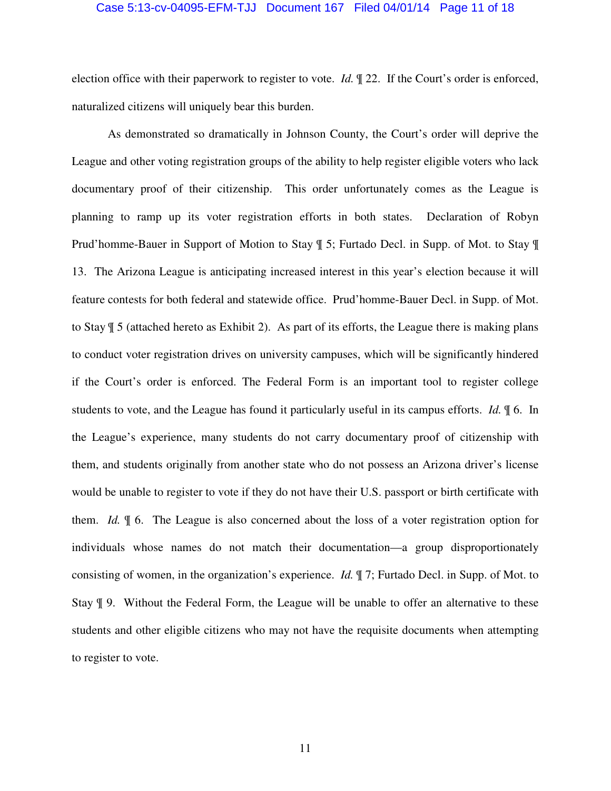#### Case 5:13-cv-04095-EFM-TJJ Document 167 Filed 04/01/14 Page 11 of 18

election office with their paperwork to register to vote. *Id.* ¶ 22. If the Court's order is enforced, naturalized citizens will uniquely bear this burden.

 As demonstrated so dramatically in Johnson County, the Court's order will deprive the League and other voting registration groups of the ability to help register eligible voters who lack documentary proof of their citizenship. This order unfortunately comes as the League is planning to ramp up its voter registration efforts in both states. Declaration of Robyn Prud'homme-Bauer in Support of Motion to Stay ¶ 5; Furtado Decl. in Supp. of Mot. to Stay ¶ 13. The Arizona League is anticipating increased interest in this year's election because it will feature contests for both federal and statewide office. Prud'homme-Bauer Decl. in Supp. of Mot. to Stay ¶ 5 (attached hereto as Exhibit 2). As part of its efforts, the League there is making plans to conduct voter registration drives on university campuses, which will be significantly hindered if the Court's order is enforced. The Federal Form is an important tool to register college students to vote, and the League has found it particularly useful in its campus efforts. *Id.* ¶ 6. In the League's experience, many students do not carry documentary proof of citizenship with them, and students originally from another state who do not possess an Arizona driver's license would be unable to register to vote if they do not have their U.S. passport or birth certificate with them. *Id.* ¶ 6. The League is also concerned about the loss of a voter registration option for individuals whose names do not match their documentation—a group disproportionately consisting of women, in the organization's experience. *Id.* ¶ 7; Furtado Decl. in Supp. of Mot. to Stay ¶ 9. Without the Federal Form, the League will be unable to offer an alternative to these students and other eligible citizens who may not have the requisite documents when attempting to register to vote.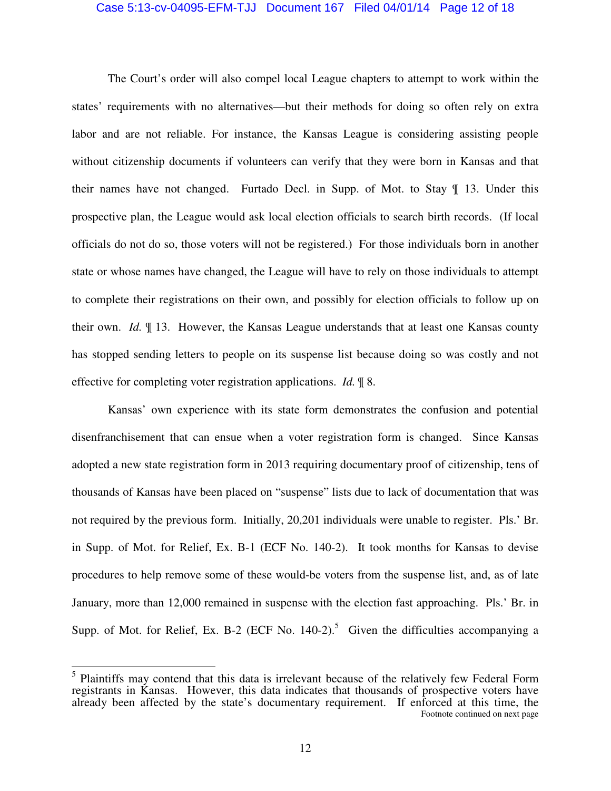#### Case 5:13-cv-04095-EFM-TJJ Document 167 Filed 04/01/14 Page 12 of 18

The Court's order will also compel local League chapters to attempt to work within the states' requirements with no alternatives—but their methods for doing so often rely on extra labor and are not reliable. For instance, the Kansas League is considering assisting people without citizenship documents if volunteers can verify that they were born in Kansas and that their names have not changed. Furtado Decl. in Supp. of Mot. to Stay ¶ 13. Under this prospective plan, the League would ask local election officials to search birth records. (If local officials do not do so, those voters will not be registered.) For those individuals born in another state or whose names have changed, the League will have to rely on those individuals to attempt to complete their registrations on their own, and possibly for election officials to follow up on their own. *Id.* ¶ 13. However, the Kansas League understands that at least one Kansas county has stopped sending letters to people on its suspense list because doing so was costly and not effective for completing voter registration applications. *Id.* ¶ 8.

Kansas' own experience with its state form demonstrates the confusion and potential disenfranchisement that can ensue when a voter registration form is changed. Since Kansas adopted a new state registration form in 2013 requiring documentary proof of citizenship, tens of thousands of Kansas have been placed on "suspense" lists due to lack of documentation that was not required by the previous form. Initially, 20,201 individuals were unable to register. Pls.' Br. in Supp. of Mot. for Relief, Ex. B-1 (ECF No. 140-2). It took months for Kansas to devise procedures to help remove some of these would-be voters from the suspense list, and, as of late January, more than 12,000 remained in suspense with the election fast approaching. Pls.' Br. in Supp. of Mot. for Relief, Ex. B-2 (ECF No.  $140-2$ ).<sup>5</sup> Given the difficulties accompanying a

<sup>&</sup>lt;sup>5</sup> Plaintiffs may contend that this data is irrelevant because of the relatively few Federal Form registrants in Kansas. However, this data indicates that thousands of prospective voters have already been affected by the state's documentary requirement. If enforced at this time, the Footnote continued on next page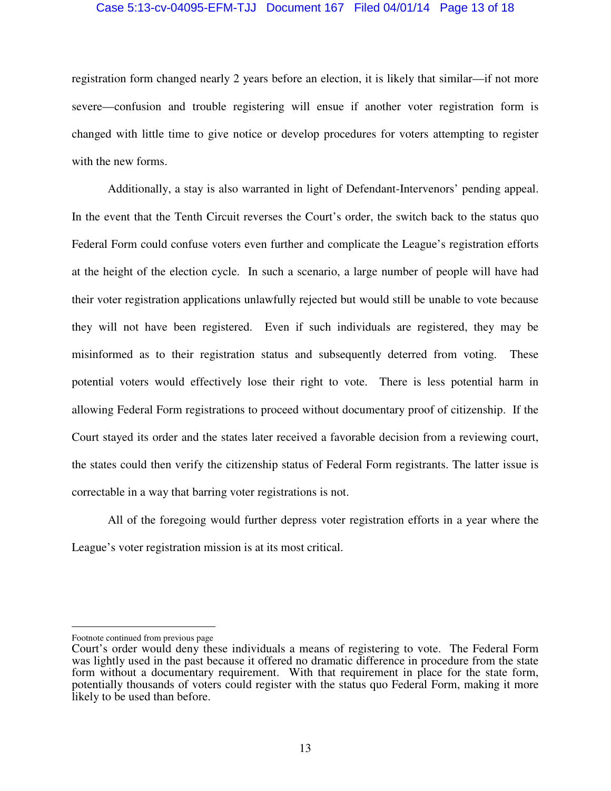### Case 5:13-cv-04095-EFM-TJJ Document 167 Filed 04/01/14 Page 13 of 18

registration form changed nearly 2 years before an election, it is likely that similar—if not more severe—confusion and trouble registering will ensue if another voter registration form is changed with little time to give notice or develop procedures for voters attempting to register with the new forms.

Additionally, a stay is also warranted in light of Defendant-Intervenors' pending appeal. In the event that the Tenth Circuit reverses the Court's order, the switch back to the status quo Federal Form could confuse voters even further and complicate the League's registration efforts at the height of the election cycle. In such a scenario, a large number of people will have had their voter registration applications unlawfully rejected but would still be unable to vote because they will not have been registered. Even if such individuals are registered, they may be misinformed as to their registration status and subsequently deterred from voting. These potential voters would effectively lose their right to vote. There is less potential harm in allowing Federal Form registrations to proceed without documentary proof of citizenship. If the Court stayed its order and the states later received a favorable decision from a reviewing court, the states could then verify the citizenship status of Federal Form registrants. The latter issue is correctable in a way that barring voter registrations is not.

All of the foregoing would further depress voter registration efforts in a year where the League's voter registration mission is at its most critical.

 $\overline{a}$ 

Footnote continued from previous page

Court's order would deny these individuals a means of registering to vote. The Federal Form was lightly used in the past because it offered no dramatic difference in procedure from the state form without a documentary requirement. With that requirement in place for the state form, potentially thousands of voters could register with the status quo Federal Form, making it more likely to be used than before.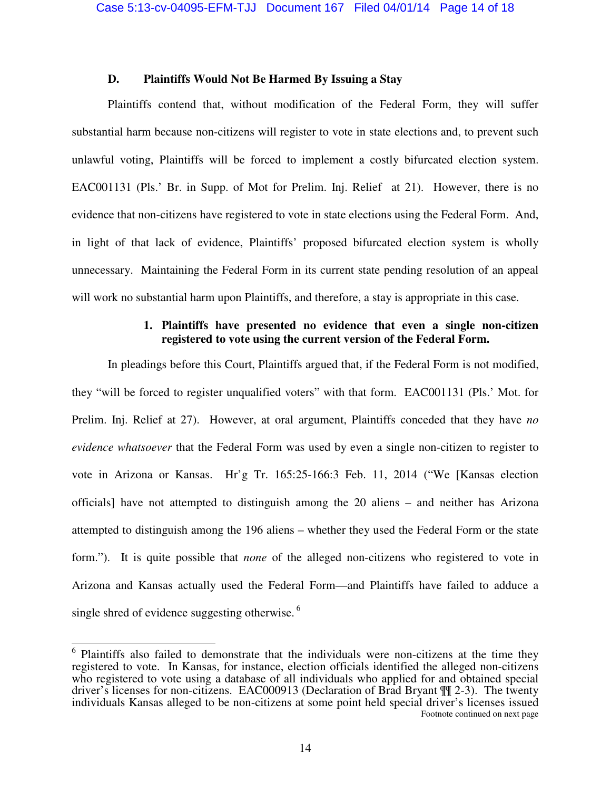### **D. Plaintiffs Would Not Be Harmed By Issuing a Stay**

 Plaintiffs contend that, without modification of the Federal Form, they will suffer substantial harm because non-citizens will register to vote in state elections and, to prevent such unlawful voting, Plaintiffs will be forced to implement a costly bifurcated election system. EAC001131 (Pls.' Br. in Supp. of Mot for Prelim. Inj. Relief at 21). However, there is no evidence that non-citizens have registered to vote in state elections using the Federal Form. And, in light of that lack of evidence, Plaintiffs' proposed bifurcated election system is wholly unnecessary. Maintaining the Federal Form in its current state pending resolution of an appeal will work no substantial harm upon Plaintiffs, and therefore, a stay is appropriate in this case.

## **1. Plaintiffs have presented no evidence that even a single non-citizen registered to vote using the current version of the Federal Form.**

In pleadings before this Court, Plaintiffs argued that, if the Federal Form is not modified, they "will be forced to register unqualified voters" with that form. EAC001131 (Pls.' Mot. for Prelim. Inj. Relief at 27). However, at oral argument, Plaintiffs conceded that they have *no evidence whatsoever* that the Federal Form was used by even a single non-citizen to register to vote in Arizona or Kansas. Hr'g Tr. 165:25-166:3 Feb. 11, 2014 ("We [Kansas election officials] have not attempted to distinguish among the 20 aliens – and neither has Arizona attempted to distinguish among the 196 aliens – whether they used the Federal Form or the state form."). It is quite possible that *none* of the alleged non-citizens who registered to vote in Arizona and Kansas actually used the Federal Form—and Plaintiffs have failed to adduce a single shred of evidence suggesting otherwise. $6$ 

 6 Plaintiffs also failed to demonstrate that the individuals were non-citizens at the time they registered to vote. In Kansas, for instance, election officials identified the alleged non-citizens who registered to vote using a database of all individuals who applied for and obtained special driver's licenses for non-citizens. EAC000913 (Declaration of Brad Bryant ¶¶ 2-3). The twenty individuals Kansas alleged to be non-citizens at some point held special driver's licenses issued Footnote continued on next page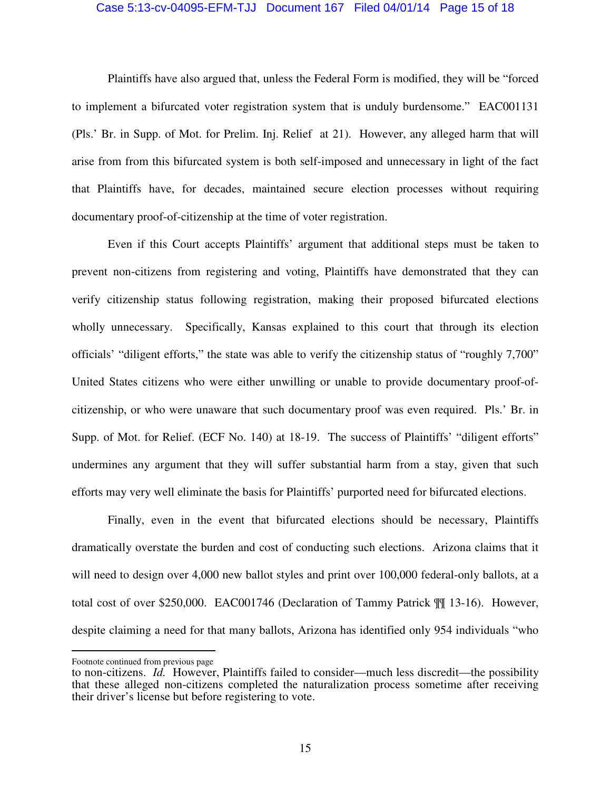#### Case 5:13-cv-04095-EFM-TJJ Document 167 Filed 04/01/14 Page 15 of 18

Plaintiffs have also argued that, unless the Federal Form is modified, they will be "forced to implement a bifurcated voter registration system that is unduly burdensome." EAC001131 (Pls.' Br. in Supp. of Mot. for Prelim. Inj. Relief at 21). However, any alleged harm that will arise from from this bifurcated system is both self-imposed and unnecessary in light of the fact that Plaintiffs have, for decades, maintained secure election processes without requiring documentary proof-of-citizenship at the time of voter registration.

Even if this Court accepts Plaintiffs' argument that additional steps must be taken to prevent non-citizens from registering and voting, Plaintiffs have demonstrated that they can verify citizenship status following registration, making their proposed bifurcated elections wholly unnecessary. Specifically, Kansas explained to this court that through its election officials' "diligent efforts," the state was able to verify the citizenship status of "roughly 7,700" United States citizens who were either unwilling or unable to provide documentary proof-ofcitizenship, or who were unaware that such documentary proof was even required. Pls.' Br. in Supp. of Mot. for Relief. (ECF No. 140) at 18-19. The success of Plaintiffs' "diligent efforts" undermines any argument that they will suffer substantial harm from a stay, given that such efforts may very well eliminate the basis for Plaintiffs' purported need for bifurcated elections.

Finally, even in the event that bifurcated elections should be necessary, Plaintiffs dramatically overstate the burden and cost of conducting such elections. Arizona claims that it will need to design over 4,000 new ballot styles and print over 100,000 federal-only ballots, at a total cost of over \$250,000. EAC001746 (Declaration of Tammy Patrick ¶¶ 13-16). However, despite claiming a need for that many ballots, Arizona has identified only 954 individuals "who

 $\overline{a}$ 

Footnote continued from previous page

to non-citizens. *Id.* However, Plaintiffs failed to consider—much less discredit—the possibility that these alleged non-citizens completed the naturalization process sometime after receiving their driver's license but before registering to vote.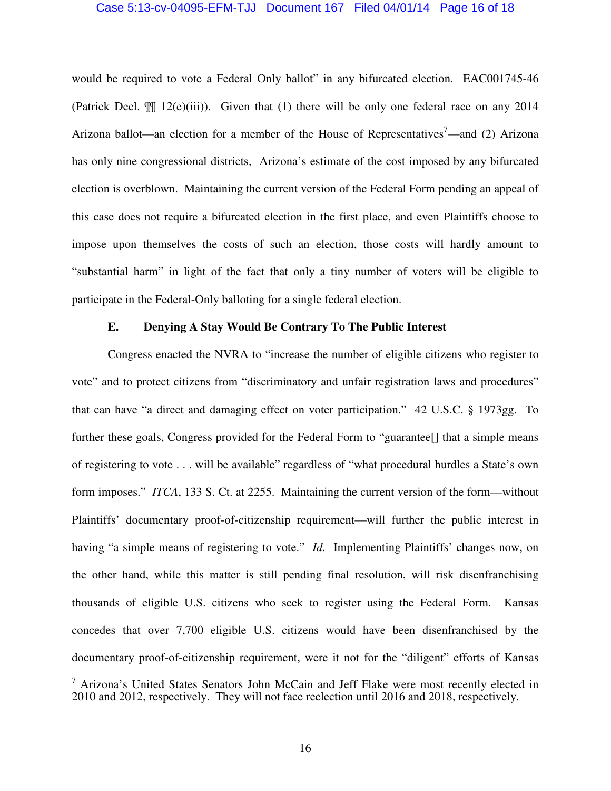#### Case 5:13-cv-04095-EFM-TJJ Document 167 Filed 04/01/14 Page 16 of 18

would be required to vote a Federal Only ballot" in any bifurcated election. EAC001745-46 (Patrick Decl.  $\mathbb{I}$  12(e)(iii)). Given that (1) there will be only one federal race on any 2014 Arizona ballot—an election for a member of the House of Representatives<sup>7</sup>—and (2) Arizona has only nine congressional districts, Arizona's estimate of the cost imposed by any bifurcated election is overblown. Maintaining the current version of the Federal Form pending an appeal of this case does not require a bifurcated election in the first place, and even Plaintiffs choose to impose upon themselves the costs of such an election, those costs will hardly amount to "substantial harm" in light of the fact that only a tiny number of voters will be eligible to participate in the Federal-Only balloting for a single federal election.

## **E. Denying A Stay Would Be Contrary To The Public Interest**

Congress enacted the NVRA to "increase the number of eligible citizens who register to vote" and to protect citizens from "discriminatory and unfair registration laws and procedures" that can have "a direct and damaging effect on voter participation." 42 U.S.C. § 1973gg. To further these goals, Congress provided for the Federal Form to "guarantee<sup>[]</sup> that a simple means of registering to vote . . . will be available" regardless of "what procedural hurdles a State's own form imposes." *ITCA*, 133 S. Ct. at 2255. Maintaining the current version of the form—without Plaintiffs' documentary proof-of-citizenship requirement—will further the public interest in having "a simple means of registering to vote." *Id.* Implementing Plaintiffs' changes now, on the other hand, while this matter is still pending final resolution, will risk disenfranchising thousands of eligible U.S. citizens who seek to register using the Federal Form. Kansas concedes that over 7,700 eligible U.S. citizens would have been disenfranchised by the documentary proof-of-citizenship requirement, were it not for the "diligent" efforts of Kansas

 $\overline{a}$ 

 $7$  Arizona's United States Senators John McCain and Jeff Flake were most recently elected in 2010 and 2012, respectively. They will not face reelection until 2016 and 2018, respectively.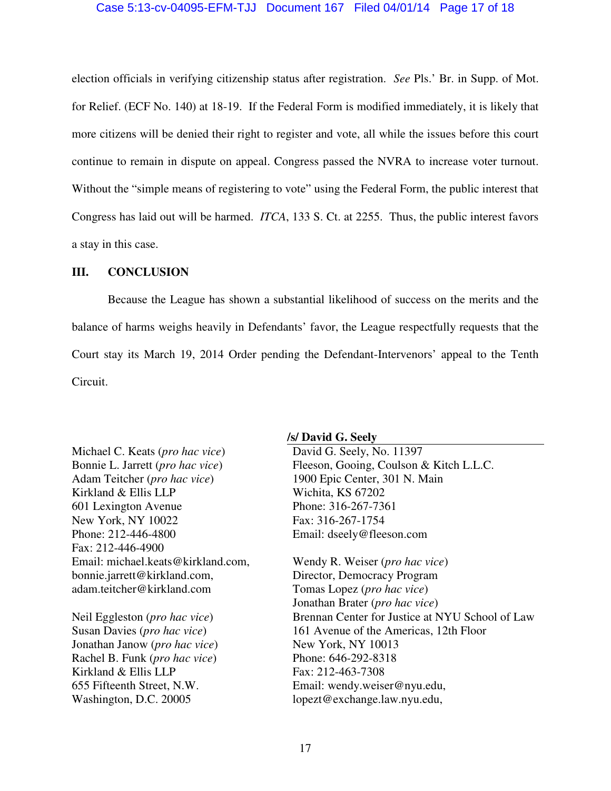### Case 5:13-cv-04095-EFM-TJJ Document 167 Filed 04/01/14 Page 17 of 18

election officials in verifying citizenship status after registration. *See* Pls.' Br. in Supp. of Mot. for Relief. (ECF No. 140) at 18-19. If the Federal Form is modified immediately, it is likely that more citizens will be denied their right to register and vote, all while the issues before this court continue to remain in dispute on appeal. Congress passed the NVRA to increase voter turnout. Without the "simple means of registering to vote" using the Federal Form, the public interest that Congress has laid out will be harmed. *ITCA*, 133 S. Ct. at 2255. Thus, the public interest favors a stay in this case.

### **III. CONCLUSION**

 Because the League has shown a substantial likelihood of success on the merits and the balance of harms weighs heavily in Defendants' favor, the League respectfully requests that the Court stay its March 19, 2014 Order pending the Defendant-Intervenors' appeal to the Tenth Circuit.

Michael C. Keats (*pro hac vice*) Bonnie L. Jarrett (*pro hac vice*) Adam Teitcher (*pro hac vice*) Kirkland & Ellis LLP 601 Lexington Avenue New York, NY 10022 Phone: 212-446-4800 Fax: 212-446-4900 Email: michael.keats@kirkland.com, bonnie.jarrett@kirkland.com, adam.teitcher@kirkland.com

Neil Eggleston (*pro hac vice*) Susan Davies (*pro hac vice*) Jonathan Janow (*pro hac vice*) Rachel B. Funk (*pro hac vice*) Kirkland & Ellis LLP 655 Fifteenth Street, N.W. Washington, D.C. 20005

#### **/s/ David G. Seely**

David G. Seely, No. 11397 Fleeson, Gooing, Coulson & Kitch L.L.C. 1900 Epic Center, 301 N. Main Wichita, KS 67202 Phone: 316-267-7361 Fax: 316-267-1754 Email: dseely@fleeson.com

Wendy R. Weiser (*pro hac vice*) Director, Democracy Program Tomas Lopez (*pro hac vice*) Jonathan Brater (*pro hac vice*) Brennan Center for Justice at NYU School of Law 161 Avenue of the Americas, 12th Floor New York, NY 10013 Phone: 646-292-8318 Fax: 212-463-7308 Email: wendy.weiser@nyu.edu, lopezt@exchange.law.nyu.edu,